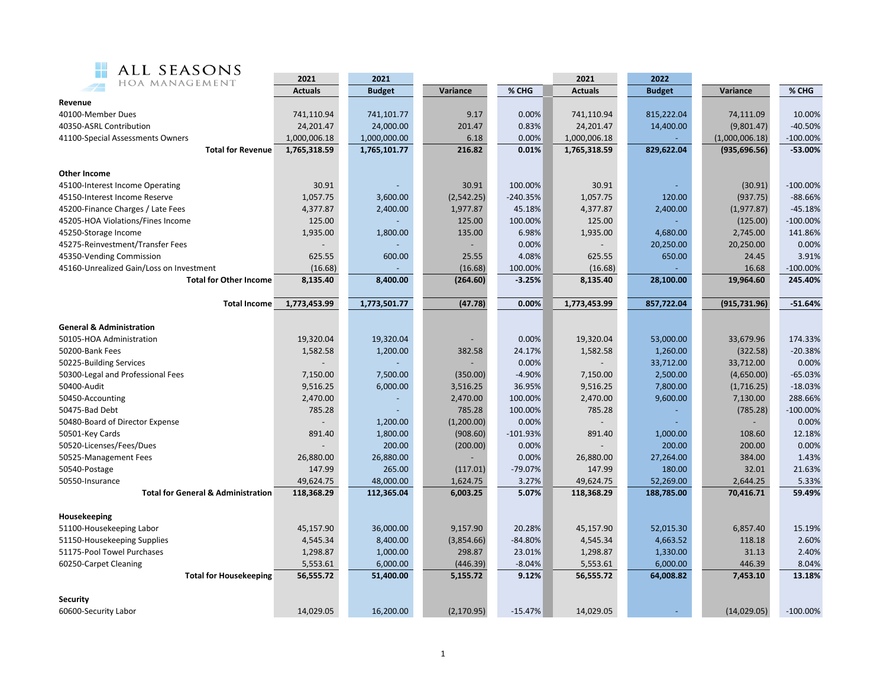

| ALL SEASONS<br>誤談                             |                          |               |             |            |                |               |                          |            |  |  |  |
|-----------------------------------------------|--------------------------|---------------|-------------|------------|----------------|---------------|--------------------------|------------|--|--|--|
| HOA MANAGEMENT                                | 2021                     | 2021          |             |            | 2021           | 2022          |                          |            |  |  |  |
|                                               | <b>Actuals</b>           | <b>Budget</b> | Variance    | % CHG      | <b>Actuals</b> | <b>Budget</b> | Variance                 | % CHG      |  |  |  |
| Revenue                                       |                          |               |             |            |                |               |                          |            |  |  |  |
| 40100-Member Dues                             | 741,110.94               | 741,101.77    | 9.17        | 0.00%      | 741,110.94     | 815,222.04    | 74,111.09                | 10.00%     |  |  |  |
| 40350-ASRL Contribution                       | 24,201.47                | 24,000.00     | 201.47      | 0.83%      | 24,201.47      | 14,400.00     | (9,801.47)               | $-40.50%$  |  |  |  |
| 41100-Special Assessments Owners              | 1,000,006.18             | 1,000,000.00  | 6.18        | 0.00%      | 1,000,006.18   |               | (1,000,006.18)           | $-100.00%$ |  |  |  |
| <b>Total for Revenue</b>                      | 1,765,318.59             | 1,765,101.77  | 216.82      | 0.01%      | 1,765,318.59   | 829,622.04    | (935, 696.56)            | $-53.00%$  |  |  |  |
| <b>Other Income</b>                           |                          |               |             |            |                |               |                          |            |  |  |  |
| 45100-Interest Income Operating               | 30.91                    |               | 30.91       | 100.00%    | 30.91          |               | (30.91)                  | $-100.00%$ |  |  |  |
| 45150-Interest Income Reserve                 | 1,057.75                 | 3,600.00      | (2,542.25)  | $-240.35%$ | 1,057.75       | 120.00        | (937.75)                 | $-88.66%$  |  |  |  |
| 45200-Finance Charges / Late Fees             | 4,377.87                 | 2,400.00      | 1,977.87    | 45.18%     | 4,377.87       | 2,400.00      | (1,977.87)               | $-45.18%$  |  |  |  |
| 45205-HOA Violations/Fines Income             | 125.00                   |               | 125.00      | 100.00%    | 125.00         |               | (125.00)                 | $-100.00%$ |  |  |  |
| 45250-Storage Income                          | 1,935.00                 | 1,800.00      | 135.00      | 6.98%      | 1,935.00       | 4,680.00      | 2,745.00                 | 141.86%    |  |  |  |
| 45275-Reinvestment/Transfer Fees              | $\overline{\phantom{a}}$ |               |             | 0.00%      |                | 20,250.00     | 20,250.00                | 0.00%      |  |  |  |
| 45350-Vending Commission                      | 625.55                   | 600.00        | 25.55       | 4.08%      | 625.55         | 650.00        | 24.45                    | 3.91%      |  |  |  |
| 45160-Unrealized Gain/Loss on Investment      | (16.68)                  |               | (16.68)     | 100.00%    | (16.68)        |               | 16.68                    | $-100.00%$ |  |  |  |
| <b>Total for Other Income</b>                 | 8,135.40                 | 8,400.00      | (264.60)    | $-3.25%$   | 8,135.40       | 28,100.00     | 19,964.60                | 245.40%    |  |  |  |
|                                               |                          |               |             |            |                |               |                          |            |  |  |  |
| <b>Total Income</b>                           | 1,773,453.99             | 1,773,501.77  | (47.78)     | 0.00%      | 1,773,453.99   | 857,722.04    | (915, 731.96)            | $-51.64%$  |  |  |  |
| <b>General &amp; Administration</b>           |                          |               |             |            |                |               |                          |            |  |  |  |
| 50105-HOA Administration                      | 19,320.04                | 19,320.04     |             | 0.00%      | 19,320.04      | 53,000.00     | 33,679.96                | 174.33%    |  |  |  |
| 50200-Bank Fees                               | 1,582.58                 | 1,200.00      | 382.58      | 24.17%     | 1,582.58       | 1,260.00      | (322.58)                 | $-20.38%$  |  |  |  |
| 50225-Building Services                       |                          |               |             | 0.00%      |                | 33,712.00     | 33,712.00                | 0.00%      |  |  |  |
| 50300-Legal and Professional Fees             | 7,150.00                 | 7,500.00      | (350.00)    | $-4.90%$   | 7,150.00       | 2,500.00      | (4,650.00)               | $-65.03%$  |  |  |  |
| 50400-Audit                                   | 9,516.25                 | 6,000.00      | 3,516.25    | 36.95%     | 9,516.25       | 7,800.00      | (1,716.25)               | $-18.03%$  |  |  |  |
| 50450-Accounting                              | 2,470.00                 |               | 2,470.00    | 100.00%    | 2,470.00       | 9,600.00      | 7,130.00                 | 288.66%    |  |  |  |
| 50475-Bad Debt                                | 785.28                   |               | 785.28      | 100.00%    | 785.28         |               | (785.28)                 | $-100.00%$ |  |  |  |
| 50480-Board of Director Expense               |                          | 1,200.00      | (1,200.00)  | 0.00%      |                |               | $\overline{\phantom{a}}$ | 0.00%      |  |  |  |
| 50501-Key Cards                               | 891.40                   | 1,800.00      | (908.60)    | $-101.93%$ | 891.40         | 1,000.00      | 108.60                   | 12.18%     |  |  |  |
| 50520-Licenses/Fees/Dues                      |                          | 200.00        | (200.00)    | 0.00%      |                | 200.00        | 200.00                   | 0.00%      |  |  |  |
| 50525-Management Fees                         | 26,880.00                | 26,880.00     |             | 0.00%      | 26,880.00      | 27,264.00     | 384.00                   | 1.43%      |  |  |  |
| 50540-Postage                                 | 147.99                   | 265.00        | (117.01)    | -79.07%    | 147.99         | 180.00        | 32.01                    | 21.63%     |  |  |  |
| 50550-Insurance                               | 49,624.75                | 48,000.00     | 1,624.75    | 3.27%      | 49,624.75      | 52,269.00     | 2,644.25                 | 5.33%      |  |  |  |
| <b>Total for General &amp; Administration</b> | 118,368.29               | 112,365.04    | 6,003.25    | 5.07%      | 118,368.29     | 188,785.00    | 70,416.71                | 59.49%     |  |  |  |
|                                               |                          |               |             |            |                |               |                          |            |  |  |  |
| Housekeeping                                  |                          |               |             |            |                |               |                          |            |  |  |  |
| 51100-Housekeeping Labor                      | 45,157.90                | 36,000.00     | 9,157.90    | 20.28%     | 45,157.90      | 52,015.30     | 6,857.40                 | 15.19%     |  |  |  |
| 51150-Housekeeping Supplies                   | 4,545.34                 | 8,400.00      | (3,854.66)  | $-84.80%$  | 4,545.34       | 4,663.52      | 118.18                   | 2.60%      |  |  |  |
| 51175-Pool Towel Purchases                    | 1,298.87                 | 1,000.00      | 298.87      | 23.01%     | 1,298.87       | 1,330.00      | 31.13                    | 2.40%      |  |  |  |
| 60250-Carpet Cleaning                         | 5,553.61                 | 6,000.00      | (446.39)    | $-8.04%$   | 5,553.61       | 6,000.00      | 446.39                   | 8.04%      |  |  |  |
| <b>Total for Housekeeping</b>                 | 56,555.72                | 51,400.00     | 5,155.72    | 9.12%      | 56,555.72      | 64,008.82     | 7,453.10                 | 13.18%     |  |  |  |
| <b>Security</b>                               |                          |               |             |            |                |               |                          |            |  |  |  |
| 60600-Security Labor                          | 14,029.05                | 16,200.00     | (2, 170.95) | $-15.47%$  | 14,029.05      | $\omega$      | (14, 029.05)             | $-100.00%$ |  |  |  |
|                                               |                          |               |             |            |                |               |                          |            |  |  |  |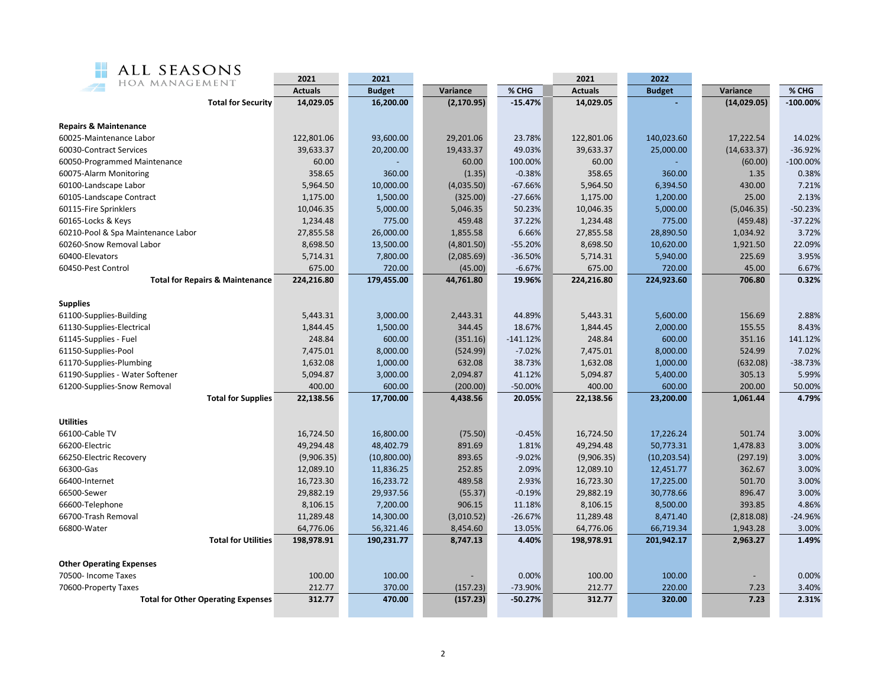| ALL SEASONS<br>M.<br>HOA MANAGEMENT        | 2021           | 2021          |             |            | 2021           | 2022          |              |             |
|--------------------------------------------|----------------|---------------|-------------|------------|----------------|---------------|--------------|-------------|
|                                            | <b>Actuals</b> | <b>Budget</b> | Variance    | % CHG      | <b>Actuals</b> | <b>Budget</b> | Variance     | % CHG       |
| <b>Total for Security</b>                  | 14,029.05      | 16,200.00     | (2, 170.95) | $-15.47%$  | 14,029.05      |               | (14,029.05)  | $-100.00\%$ |
| <b>Repairs &amp; Maintenance</b>           |                |               |             |            |                |               |              |             |
| 60025-Maintenance Labor                    | 122,801.06     | 93,600.00     | 29,201.06   | 23.78%     | 122,801.06     | 140,023.60    | 17,222.54    | 14.02%      |
| 60030-Contract Services                    | 39,633.37      | 20,200.00     | 19,433.37   | 49.03%     | 39,633.37      | 25,000.00     | (14, 633.37) | -36.92%     |
| 60050-Programmed Maintenance               | 60.00          |               | 60.00       | 100.00%    | 60.00          |               | (60.00)      | $-100.00\%$ |
| 60075-Alarm Monitoring                     | 358.65         | 360.00        | (1.35)      | $-0.38%$   | 358.65         | 360.00        | 1.35         | 0.38%       |
| 60100-Landscape Labor                      | 5,964.50       | 10,000.00     | (4,035.50)  | $-67.66%$  | 5,964.50       | 6,394.50      | 430.00       | 7.21%       |
| 60105-Landscape Contract                   | 1,175.00       | 1,500.00      | (325.00)    | $-27.66%$  | 1,175.00       | 1,200.00      | 25.00        | 2.13%       |
| 60115-Fire Sprinklers                      | 10,046.35      | 5,000.00      | 5,046.35    | 50.23%     | 10,046.35      | 5,000.00      | (5,046.35)   | $-50.23%$   |
| 60165-Locks & Keys                         | 1,234.48       | 775.00        | 459.48      | 37.22%     | 1,234.48       | 775.00        | (459.48)     | $-37.22%$   |
| 60210-Pool & Spa Maintenance Labor         | 27,855.58      | 26,000.00     | 1,855.58    | 6.66%      | 27,855.58      | 28,890.50     | 1,034.92     | 3.72%       |
| 60260-Snow Removal Labor                   | 8,698.50       | 13,500.00     | (4,801.50)  | $-55.20%$  | 8,698.50       | 10,620.00     | 1,921.50     | 22.09%      |
| 60400-Elevators                            | 5,714.31       | 7,800.00      | (2,085.69)  | $-36.50%$  | 5,714.31       | 5,940.00      | 225.69       | 3.95%       |
| 60450-Pest Control                         | 675.00         | 720.00        | (45.00)     | $-6.67%$   | 675.00         | 720.00        | 45.00        | 6.67%       |
| <b>Total for Repairs &amp; Maintenance</b> | 224,216.80     | 179,455.00    | 44,761.80   | 19.96%     | 224,216.80     | 224,923.60    | 706.80       | 0.32%       |
| Supplies                                   |                |               |             |            |                |               |              |             |
| 61100-Supplies-Building                    | 5,443.31       | 3,000.00      | 2,443.31    | 44.89%     | 5,443.31       | 5,600.00      | 156.69       | 2.88%       |
| 61130-Supplies-Electrical                  | 1,844.45       | 1,500.00      | 344.45      | 18.67%     | 1,844.45       | 2,000.00      | 155.55       | 8.43%       |
| 61145-Supplies - Fuel                      | 248.84         | 600.00        | (351.16)    | $-141.12%$ | 248.84         | 600.00        | 351.16       | 141.12%     |
| 61150-Supplies-Pool                        | 7,475.01       | 8,000.00      | (524.99)    | $-7.02%$   | 7,475.01       | 8,000.00      | 524.99       | 7.02%       |
| 61170-Supplies-Plumbing                    | 1,632.08       | 1,000.00      | 632.08      | 38.73%     | 1,632.08       | 1,000.00      | (632.08)     | $-38.73%$   |
| 61190-Supplies - Water Softener            | 5,094.87       | 3,000.00      | 2,094.87    | 41.12%     | 5,094.87       | 5,400.00      | 305.13       | 5.99%       |
| 61200-Supplies-Snow Removal                | 400.00         | 600.00        | (200.00)    | $-50.00%$  | 400.00         | 600.00        | 200.00       | 50.00%      |
| <b>Total for Supplies</b>                  | 22,138.56      | 17,700.00     | 4,438.56    | 20.05%     | 22,138.56      | 23,200.00     | 1,061.44     | 4.79%       |
| Utilities                                  |                |               |             |            |                |               |              |             |
| 66100-Cable TV                             | 16,724.50      | 16,800.00     | (75.50)     | $-0.45%$   | 16,724.50      | 17,226.24     | 501.74       | 3.00%       |
| 66200-Electric                             | 49,294.48      | 48,402.79     | 891.69      | 1.81%      | 49,294.48      | 50,773.31     | 1,478.83     | 3.00%       |
| 66250-Electric Recovery                    | (9,906.35)     | (10,800.00)   | 893.65      | $-9.02%$   | (9,906.35)     | (10, 203.54)  | (297.19)     | 3.00%       |
| 66300-Gas                                  | 12,089.10      | 11,836.25     | 252.85      | 2.09%      | 12,089.10      | 12,451.77     | 362.67       | 3.00%       |
| 66400-Internet                             | 16,723.30      | 16,233.72     | 489.58      | 2.93%      | 16,723.30      | 17,225.00     | 501.70       | 3.00%       |
| 66500-Sewer                                | 29,882.19      | 29,937.56     | (55.37)     | $-0.19%$   | 29,882.19      | 30,778.66     | 896.47       | 3.00%       |
| 66600-Telephone                            | 8,106.15       | 7,200.00      | 906.15      | 11.18%     | 8,106.15       | 8,500.00      | 393.85       | 4.86%       |
| 66700-Trash Removal                        | 11,289.48      | 14,300.00     | (3,010.52)  | $-26.67%$  | 11,289.48      | 8,471.40      | (2,818.08)   | -24.96%     |
| 66800-Water                                | 64,776.06      | 56,321.46     | 8,454.60    | 13.05%     | 64,776.06      | 66,719.34     | 1,943.28     | 3.00%       |
| <b>Total for Utilities</b>                 | 198,978.91     | 190,231.77    | 8,747.13    | 4.40%      | 198,978.91     | 201,942.17    | 2,963.27     | 1.49%       |
| <b>Other Operating Expenses</b>            |                |               |             |            |                |               |              |             |
| 70500- Income Taxes                        | 100.00         | 100.00        |             | 0.00%      | 100.00         | 100.00        |              | 0.00%       |
| 70600-Property Taxes                       | 212.77         | 370.00        | (157.23)    | -73.90%    | 212.77         | 220.00        | 7.23         | 3.40%       |
| <b>Total for Other Operating Expenses</b>  | 312.77         | 470.00        | (157.23)    | $-50.27%$  | 312.77         | 320.00        | 7.23         | 2.31%       |
|                                            |                |               |             |            |                |               |              |             |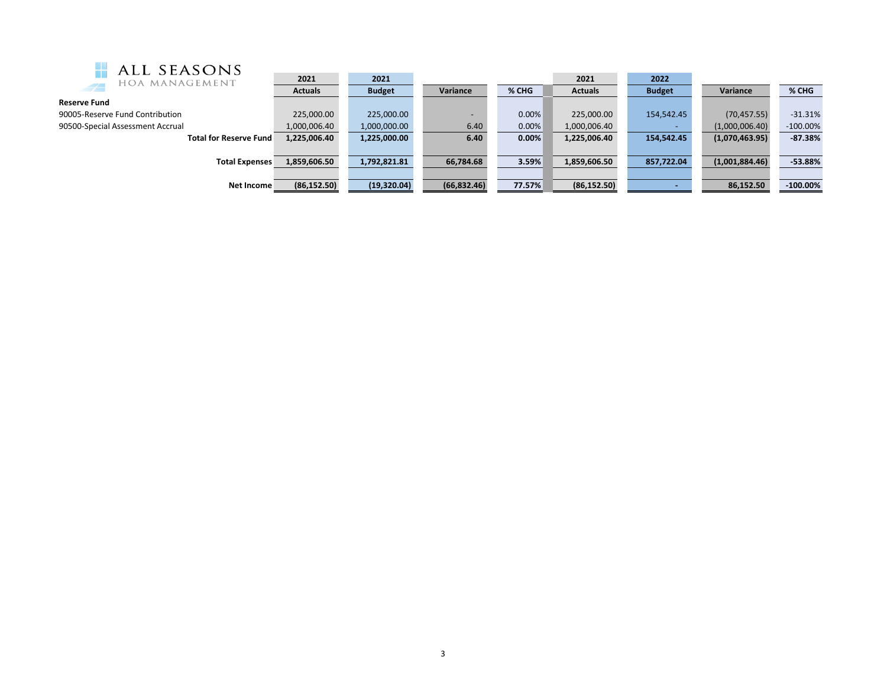| ALL SEASONS                      |                |               |                          |        |                |               |                |             |
|----------------------------------|----------------|---------------|--------------------------|--------|----------------|---------------|----------------|-------------|
| HOA MANAGEMENT                   | 2021           | 2021          |                          |        | 2021           | 2022          |                |             |
| $\overline{\phantom{a}}$         | <b>Actuals</b> | <b>Budget</b> | Variance                 | % CHG  | <b>Actuals</b> | <b>Budget</b> | Variance       | % CHG       |
| <b>Reserve Fund</b>              |                |               |                          |        |                |               |                |             |
| 90005-Reserve Fund Contribution  | 225.000.00     | 225,000.00    | $\overline{\phantom{0}}$ | 0.00%  | 225,000.00     | 154,542.45    | (70, 457.55)   | $-31.31%$   |
| 90500-Special Assessment Accrual | 1,000,006.40   | 1,000,000.00  | 6.40                     | 0.00%  | 1,000,006.40   |               | (1,000,006.40) | $-100.00\%$ |
| <b>Total for Reserve Fund</b>    | 1,225,006.40   | 1,225,000.00  | 6.40                     | 0.00%  | 1,225,006.40   | 154.542.45    | (1,070,463.95) | $-87.38%$   |
|                                  |                |               |                          |        |                |               |                |             |
| <b>Total Expenses</b>            | 1,859,606.50   | 1,792,821.81  | 66,784.68                | 3.59%  | 1,859,606.50   | 857,722.04    | (1,001,884.46) | $-53.88%$   |
|                                  |                |               |                          |        |                |               |                |             |
| Net Income                       | (86, 152.50)   | (19, 320.04)  | (66,832.46)              | 77.57% | (86, 152.50)   |               | 86,152.50      | $-100.00\%$ |